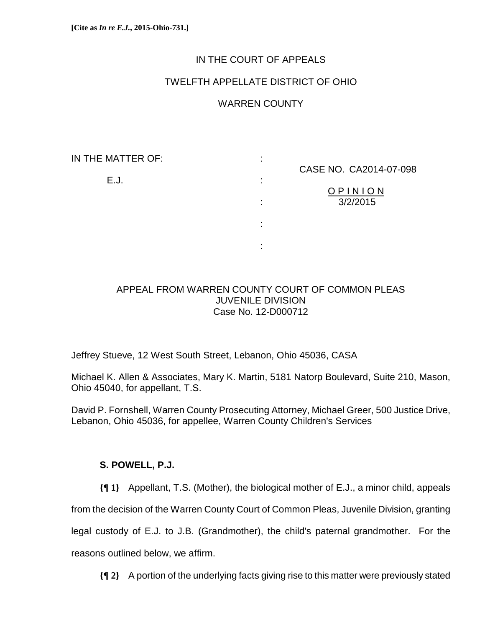## IN THE COURT OF APPEALS

## TWELFTH APPELLATE DISTRICT OF OHIO

## WARREN COUNTY

IN THE MATTER OF: :

E.J. :

the contract of the contract of the contract of the contract of the contract of

the contract of the contract of the contract of the contract of the contract of

CASE NO. CA2014-07-098

O P I N I O N : 3/2/2015

### APPEAL FROM WARREN COUNTY COURT OF COMMON PLEAS JUVENILE DIVISION Case No. 12-D000712

Jeffrey Stueve, 12 West South Street, Lebanon, Ohio 45036, CASA

Michael K. Allen & Associates, Mary K. Martin, 5181 Natorp Boulevard, Suite 210, Mason, Ohio 45040, for appellant, T.S.

David P. Fornshell, Warren County Prosecuting Attorney, Michael Greer, 500 Justice Drive, Lebanon, Ohio 45036, for appellee, Warren County Children's Services

## **S. POWELL, P.J.**

**{¶ 1}** Appellant, T.S. (Mother), the biological mother of E.J., a minor child, appeals

from the decision of the Warren County Court of Common Pleas, Juvenile Division, granting

legal custody of E.J. to J.B. (Grandmother), the child's paternal grandmother. For the

reasons outlined below, we affirm.

**{¶ 2}** A portion of the underlying facts giving rise to this matter were previously stated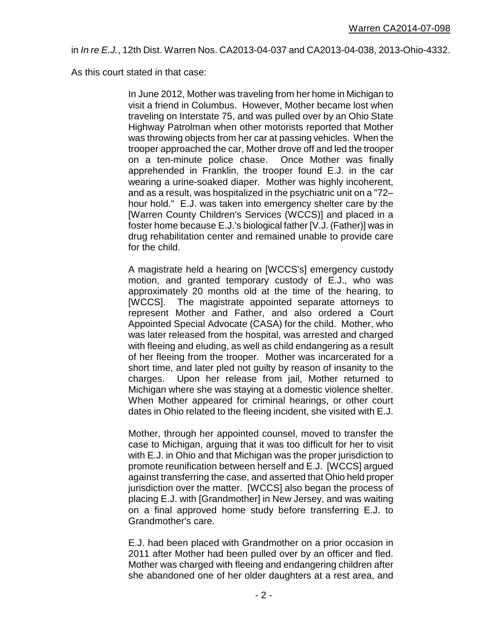in *In re E.J.*, 12th Dist. Warren Nos. CA2013-04-037 and CA2013-04-038, 2013-Ohio-4332.

As this court stated in that case:

In June 2012, Mother was traveling from her home in Michigan to visit a friend in Columbus. However, Mother became lost when traveling on Interstate 75, and was pulled over by an Ohio State Highway Patrolman when other motorists reported that Mother was throwing objects from her car at passing vehicles. When the trooper approached the car, Mother drove off and led the trooper on a ten-minute police chase. Once Mother was finally apprehended in Franklin, the trooper found E.J. in the car wearing a urine-soaked diaper. Mother was highly incoherent, and as a result, was hospitalized in the psychiatric unit on a "72– hour hold." E.J. was taken into emergency shelter care by the [Warren County Children's Services (WCCS)] and placed in a foster home because E.J.'s biological father [V.J. (Father)] was in drug rehabilitation center and remained unable to provide care for the child.

A magistrate held a hearing on [WCCS's] emergency custody motion, and granted temporary custody of E.J., who was approximately 20 months old at the time of the hearing, to [WCCS]. The magistrate appointed separate attorneys to represent Mother and Father, and also ordered a Court Appointed Special Advocate (CASA) for the child. Mother, who was later released from the hospital, was arrested and charged with fleeing and eluding, as well as child endangering as a result of her fleeing from the trooper. Mother was incarcerated for a short time, and later pled not guilty by reason of insanity to the charges. Upon her release from jail, Mother returned to Michigan where she was staying at a domestic violence shelter. When Mother appeared for criminal hearings, or other court dates in Ohio related to the fleeing incident, she visited with E.J.

Mother, through her appointed counsel, moved to transfer the case to Michigan, arguing that it was too difficult for her to visit with E.J. in Ohio and that Michigan was the proper jurisdiction to promote reunification between herself and E.J. [WCCS] argued against transferring the case, and asserted that Ohio held proper jurisdiction over the matter. [WCCS] also began the process of placing E.J. with [Grandmother] in New Jersey, and was waiting on a final approved home study before transferring E.J. to Grandmother's care.

E.J. had been placed with Grandmother on a prior occasion in 2011 after Mother had been pulled over by an officer and fled. Mother was charged with fleeing and endangering children after she abandoned one of her older daughters at a rest area, and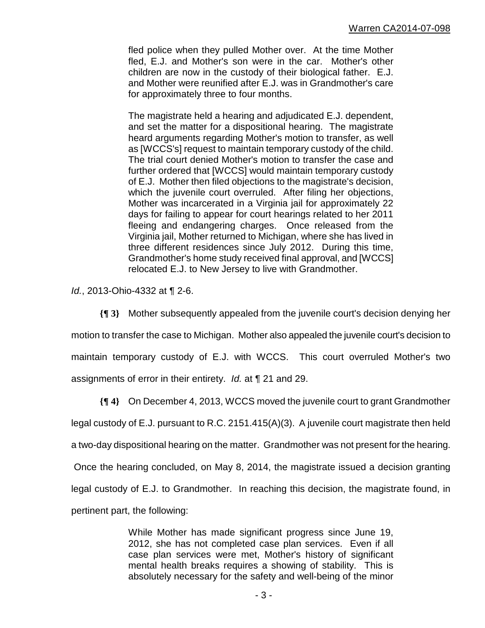fled police when they pulled Mother over. At the time Mother fled, E.J. and Mother's son were in the car. Mother's other children are now in the custody of their biological father. E.J. and Mother were reunified after E.J. was in Grandmother's care for approximately three to four months.

The magistrate held a hearing and adjudicated E.J. dependent, and set the matter for a dispositional hearing. The magistrate heard arguments regarding Mother's motion to transfer, as well as [WCCS's] request to maintain temporary custody of the child. The trial court denied Mother's motion to transfer the case and further ordered that [WCCS] would maintain temporary custody of E.J. Mother then filed objections to the magistrate's decision, which the juvenile court overruled. After filing her objections, Mother was incarcerated in a Virginia jail for approximately 22 days for failing to appear for court hearings related to her 2011 fleeing and endangering charges. Once released from the Virginia jail, Mother returned to Michigan, where she has lived in three different residences since July 2012. During this time, Grandmother's home study received final approval, and [WCCS] relocated E.J. to New Jersey to live with Grandmother.

*Id.*, 2013-Ohio-4332 at ¶ 2-6.

**{¶ 3}** Mother subsequently appealed from the juvenile court's decision denying her motion to transfer the case to Michigan. Mother also appealed the juvenile court's decision to maintain temporary custody of E.J. with WCCS. This court overruled Mother's two assignments of error in their entirety. *Id.* at ¶ 21 and 29.

**{¶ 4}** On December 4, 2013, WCCS moved the juvenile court to grant Grandmother legal custody of E.J. pursuant to R.C. 2151.415(A)(3). A juvenile court magistrate then held a two-day dispositional hearing on the matter. Grandmother was not present for the hearing. Once the hearing concluded, on May 8, 2014, the magistrate issued a decision granting legal custody of E.J. to Grandmother. In reaching this decision, the magistrate found, in pertinent part, the following:

> While Mother has made significant progress since June 19, 2012, she has not completed case plan services. Even if all case plan services were met, Mother's history of significant mental health breaks requires a showing of stability. This is absolutely necessary for the safety and well-being of the minor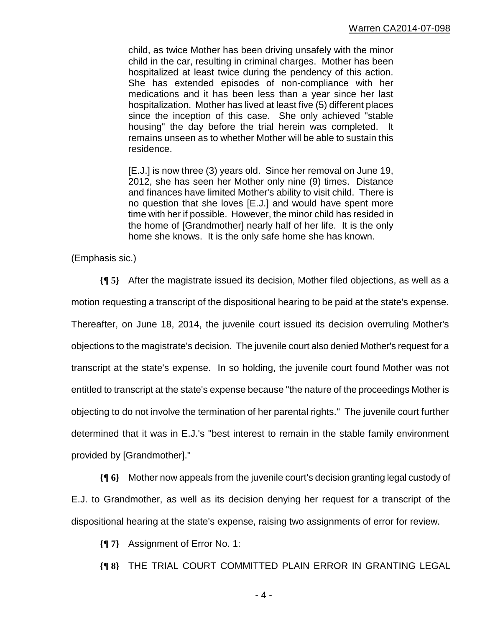child, as twice Mother has been driving unsafely with the minor child in the car, resulting in criminal charges. Mother has been hospitalized at least twice during the pendency of this action. She has extended episodes of non-compliance with her medications and it has been less than a year since her last hospitalization. Mother has lived at least five (5) different places since the inception of this case. She only achieved "stable housing" the day before the trial herein was completed. It remains unseen as to whether Mother will be able to sustain this residence.

[E.J.] is now three (3) years old. Since her removal on June 19, 2012, she has seen her Mother only nine (9) times. Distance and finances have limited Mother's ability to visit child. There is no question that she loves [E.J.] and would have spent more time with her if possible. However, the minor child has resided in the home of [Grandmother] nearly half of her life. It is the only home she knows. It is the only safe home she has known.

(Emphasis sic.)

**{¶ 5}** After the magistrate issued its decision, Mother filed objections, as well as a motion requesting a transcript of the dispositional hearing to be paid at the state's expense. Thereafter, on June 18, 2014, the juvenile court issued its decision overruling Mother's objections to the magistrate's decision. The juvenile court also denied Mother's request for a transcript at the state's expense. In so holding, the juvenile court found Mother was not entitled to transcript at the state's expense because "the nature of the proceedings Mother is objecting to do not involve the termination of her parental rights." The juvenile court further determined that it was in E.J.'s "best interest to remain in the stable family environment provided by [Grandmother]."

**{¶ 6}** Mother now appeals from the juvenile court's decision granting legal custody of E.J. to Grandmother, as well as its decision denying her request for a transcript of the dispositional hearing at the state's expense, raising two assignments of error for review.

**{¶ 7}** Assignment of Error No. 1:

**{¶ 8}** THE TRIAL COURT COMMITTED PLAIN ERROR IN GRANTING LEGAL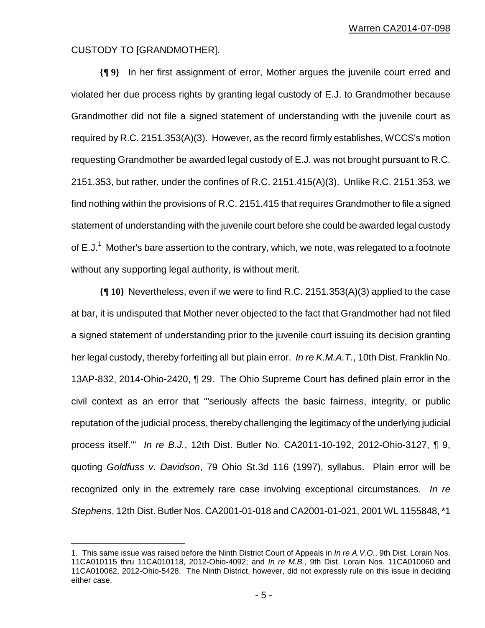#### CUSTODY TO [GRANDMOTHER].

 $\overline{a}$ 

**{¶ 9}** In her first assignment of error, Mother argues the juvenile court erred and violated her due process rights by granting legal custody of E.J. to Grandmother because Grandmother did not file a signed statement of understanding with the juvenile court as required by R.C. 2151.353(A)(3). However, as the record firmly establishes, WCCS's motion requesting Grandmother be awarded legal custody of E.J. was not brought pursuant to R.C. 2151.353, but rather, under the confines of R.C. 2151.415(A)(3). Unlike R.C. 2151.353, we find nothing within the provisions of R.C. 2151.415 that requires Grandmother to file a signed statement of understanding with the juvenile court before she could be awarded legal custody of E.J.<sup>1</sup> Mother's bare assertion to the contrary, which, we note, was relegated to a footnote without any supporting legal authority, is without merit.

**{¶ 10}** Nevertheless, even if we were to find R.C. 2151.353(A)(3) applied to the case at bar, it is undisputed that Mother never objected to the fact that Grandmother had not filed a signed statement of understanding prior to the juvenile court issuing its decision granting her legal custody, thereby forfeiting all but plain error. *In re K.M.A.T.*, 10th Dist. Franklin No. 13AP-832, 2014-Ohio-2420, ¶ 29.The Ohio Supreme Court has defined plain error in the civil context as an error that "'seriously affects the basic fairness, integrity, or public reputation of the judicial process, thereby challenging the legitimacy of the underlying judicial process itself.'" *In re B.J.*, 12th Dist. Butler No. CA2011-10-192, 2012-Ohio-3127, ¶ 9, quoting *Goldfuss v. Davidson*, 79 Ohio St.3d 116 (1997), syllabus. Plain error will be recognized only in the extremely rare case involving exceptional circumstances. *In re Stephens*, 12th Dist. Butler Nos. CA2001-01-018 and CA2001-01-021, 2001 WL 1155848, \*1

<sup>1.</sup> This same issue was raised before the Ninth District Court of Appeals in *In re A.V.O.*, 9th Dist. Lorain Nos. 11CA010115 thru 11CA010118, 2012-Ohio-4092; and *In re M.B.*, 9th Dist. Lorain Nos. 11CA010060 and 11CA010062, 2012-Ohio-5428. The Ninth District, however, did not expressly rule on this issue in deciding either case.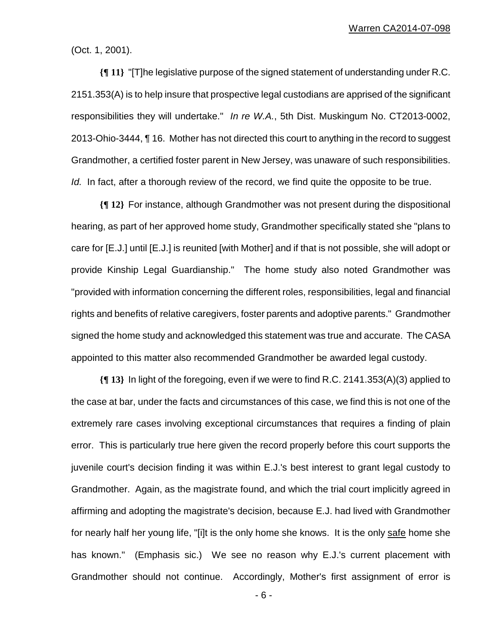(Oct. 1, 2001).

**{¶ 11}** "[T]he legislative purpose of the signed statement of understanding under R.C. 2151.353(A) is to help insure that prospective legal custodians are apprised of the significant responsibilities they will undertake." *In re W.A.*, 5th Dist. Muskingum No. CT2013-0002, 2013-Ohio-3444, ¶ 16. Mother has not directed this court to anything in the record to suggest Grandmother, a certified foster parent in New Jersey, was unaware of such responsibilities. *Id.* In fact, after a thorough review of the record, we find quite the opposite to be true.

**{¶ 12}** For instance, although Grandmother was not present during the dispositional hearing, as part of her approved home study, Grandmother specifically stated she "plans to care for [E.J.] until [E.J.] is reunited [with Mother] and if that is not possible, she will adopt or provide Kinship Legal Guardianship." The home study also noted Grandmother was "provided with information concerning the different roles, responsibilities, legal and financial rights and benefits of relative caregivers, foster parents and adoptive parents." Grandmother signed the home study and acknowledged this statement was true and accurate. The CASA appointed to this matter also recommended Grandmother be awarded legal custody.

**{¶ 13}** In light of the foregoing, even if we were to find R.C. 2141.353(A)(3) applied to the case at bar, under the facts and circumstances of this case, we find this is not one of the extremely rare cases involving exceptional circumstances that requires a finding of plain error. This is particularly true here given the record properly before this court supports the juvenile court's decision finding it was within E.J.'s best interest to grant legal custody to Grandmother. Again, as the magistrate found, and which the trial court implicitly agreed in affirming and adopting the magistrate's decision, because E.J. had lived with Grandmother for nearly half her young life, "[i]t is the only home she knows. It is the only safe home she has known." (Emphasis sic.) We see no reason why E.J.'s current placement with Grandmother should not continue. Accordingly, Mother's first assignment of error is

- 6 -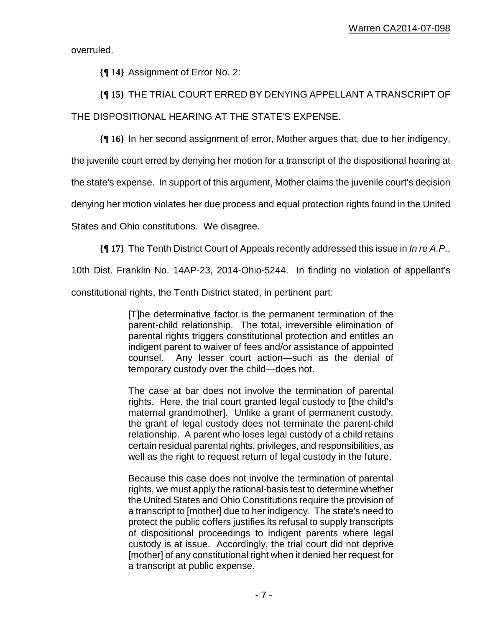overruled.

**{¶ 14}** Assignment of Error No. 2:

# **{¶ 15}** THE TRIAL COURT ERRED BY DENYING APPELLANT A TRANSCRIPT OF THE DISPOSITIONAL HEARING AT THE STATE'S EXPENSE.

**{¶ 16}** In her second assignment of error, Mother argues that, due to her indigency,

the juvenile court erred by denying her motion for a transcript of the dispositional hearing at

the state's expense. In support of this argument, Mother claims the juvenile court's decision

denying her motion violates her due process and equal protection rights found in the United

States and Ohio constitutions. We disagree.

**{¶ 17}** The Tenth District Court of Appeals recently addressed this issue in *In re A.P.*,

10th Dist. Franklin No. 14AP-23, 2014-Ohio-5244. In finding no violation of appellant's

constitutional rights, the Tenth District stated, in pertinent part:

[T]he determinative factor is the permanent termination of the parent-child relationship. The total, irreversible elimination of parental rights triggers constitutional protection and entitles an indigent parent to waiver of fees and/or assistance of appointed counsel. Any lesser court action—such as the denial of temporary custody over the child—does not.

The case at bar does not involve the termination of parental rights. Here, the trial court granted legal custody to [the child's maternal grandmother]. Unlike a grant of permanent custody, the grant of legal custody does not terminate the parent-child relationship. A parent who loses legal custody of a child retains certain residual parental rights, privileges, and responsibilities, as well as the right to request return of legal custody in the future.

Because this case does not involve the termination of parental rights, we must apply the rational-basis test to determine whether the United States and Ohio Constitutions require the provision of a transcript to [mother] due to her indigency. The state's need to protect the public coffers justifies its refusal to supply transcripts of dispositional proceedings to indigent parents where legal custody is at issue. Accordingly, the trial court did not deprive [mother] of any constitutional right when it denied her request for a transcript at public expense.